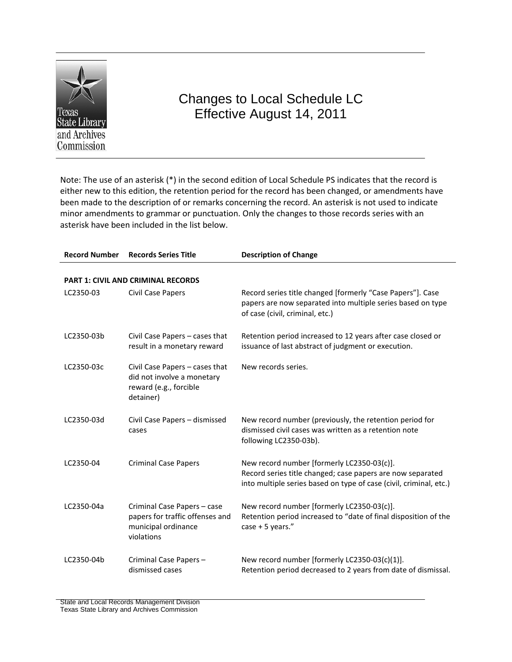

## Changes to Local Schedule LC Effective August 14, 2011

Note: The use of an asterisk (\*) in the second edition of Local Schedule PS indicates that the record is either new to this edition, the retention period for the record has been changed, or amendments have been made to the description of or remarks concerning the record. An asterisk is not used to indicate minor amendments to grammar or punctuation. Only the changes to those records series with an asterisk have been included in the list below.

| <b>Record Number</b> | <b>Records Series Title</b>                                                                         | <b>Description of Change</b>                                                                                                                                                   |  |  |
|----------------------|-----------------------------------------------------------------------------------------------------|--------------------------------------------------------------------------------------------------------------------------------------------------------------------------------|--|--|
|                      |                                                                                                     |                                                                                                                                                                                |  |  |
|                      | <b>PART 1: CIVIL AND CRIMINAL RECORDS</b>                                                           |                                                                                                                                                                                |  |  |
| LC2350-03            | Civil Case Papers                                                                                   | Record series title changed [formerly "Case Papers"]. Case<br>papers are now separated into multiple series based on type<br>of case (civil, criminal, etc.)                   |  |  |
| LC2350-03b           | Civil Case Papers - cases that<br>result in a monetary reward                                       | Retention period increased to 12 years after case closed or<br>issuance of last abstract of judgment or execution.                                                             |  |  |
| LC2350-03c           | Civil Case Papers - cases that<br>did not involve a monetary<br>reward (e.g., forcible<br>detainer) | New records series.                                                                                                                                                            |  |  |
| LC2350-03d           | Civil Case Papers - dismissed<br>cases                                                              | New record number (previously, the retention period for<br>dismissed civil cases was written as a retention note<br>following LC2350-03b).                                     |  |  |
| LC2350-04            | <b>Criminal Case Papers</b>                                                                         | New record number [formerly LC2350-03(c)].<br>Record series title changed; case papers are now separated<br>into multiple series based on type of case (civil, criminal, etc.) |  |  |
| LC2350-04a           | Criminal Case Papers - case<br>papers for traffic offenses and<br>municipal ordinance<br>violations | New record number [formerly LC2350-03(c)].<br>Retention period increased to "date of final disposition of the<br>case + 5 years."                                              |  |  |
| LC2350-04b           | Criminal Case Papers -<br>dismissed cases                                                           | New record number [formerly LC2350-03(c)(1)].<br>Retention period decreased to 2 years from date of dismissal.                                                                 |  |  |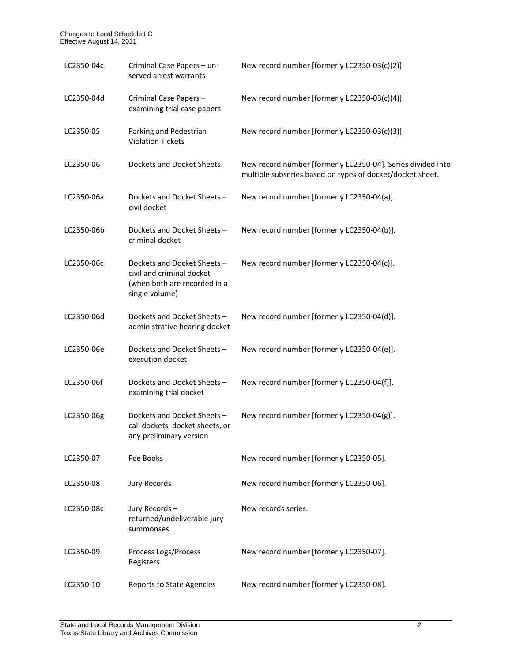| LC2350-04c | Criminal Case Papers - un-<br>served arrest warrants                                                      | New record number [formerly LC2350-03(c)(2)].                                                                            |
|------------|-----------------------------------------------------------------------------------------------------------|--------------------------------------------------------------------------------------------------------------------------|
| LC2350-04d | Criminal Case Papers -<br>examining trial case papers                                                     | New record number [formerly LC2350-03(c)(4)].                                                                            |
| LC2350-05  | Parking and Pedestrian<br><b>Violation Tickets</b>                                                        | New record number [formerly LC2350-03(c)(3)].                                                                            |
| LC2350-06  | <b>Dockets and Docket Sheets</b>                                                                          | New record number [formerly LC2350-04]. Series divided into<br>multiple subseries based on types of docket/docket sheet. |
| LC2350-06a | Dockets and Docket Sheets-<br>civil docket                                                                | New record number [formerly LC2350-04(a)].                                                                               |
| LC2350-06b | Dockets and Docket Sheets-<br>criminal docket                                                             | New record number [formerly LC2350-04(b)].                                                                               |
| LC2350-06c | Dockets and Docket Sheets-<br>civil and criminal docket<br>(when both are recorded in a<br>single volume) | New record number [formerly LC2350-04(c)].                                                                               |
| LC2350-06d | Dockets and Docket Sheets-<br>administrative hearing docket                                               | New record number [formerly LC2350-04(d)].                                                                               |
| LC2350-06e | Dockets and Docket Sheets-<br>execution docket                                                            | New record number [formerly LC2350-04(e)].                                                                               |
| LC2350-06f | Dockets and Docket Sheets-<br>examining trial docket                                                      | New record number [formerly LC2350-04(f)].                                                                               |
| LC2350-06g | Dockets and Docket Sheets-<br>call dockets, docket sheets, or<br>any preliminary version                  | New record number [formerly LC2350-04(g)].                                                                               |
| LC2350-07  | Fee Books                                                                                                 | New record number [formerly LC2350-05].                                                                                  |
| LC2350-08  | <b>Jury Records</b>                                                                                       | New record number [formerly LC2350-06].                                                                                  |
| LC2350-08c | Jury Records-<br>returned/undeliverable jury<br>summonses                                                 | New records series.                                                                                                      |
| LC2350-09  | Process Logs/Process<br>Registers                                                                         | New record number [formerly LC2350-07].                                                                                  |
| LC2350-10  | Reports to State Agencies                                                                                 | New record number [formerly LC2350-08].                                                                                  |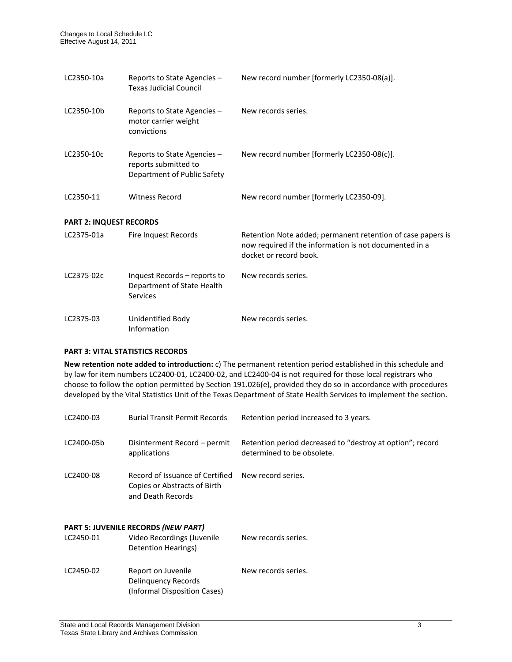| LC2350-10a                     | Reports to State Agencies -<br><b>Texas Judicial Council</b>                       | New record number [formerly LC2350-08(a)].                                                                                                      |  |  |
|--------------------------------|------------------------------------------------------------------------------------|-------------------------------------------------------------------------------------------------------------------------------------------------|--|--|
| LC2350-10b                     | Reports to State Agencies -<br>motor carrier weight<br>convictions                 | New records series.                                                                                                                             |  |  |
| LC2350-10c                     | Reports to State Agencies -<br>reports submitted to<br>Department of Public Safety | New record number [formerly LC2350-08(c)].                                                                                                      |  |  |
| LC2350-11                      | <b>Witness Record</b>                                                              | New record number [formerly LC2350-09].                                                                                                         |  |  |
| <b>PART 2: INQUEST RECORDS</b> |                                                                                    |                                                                                                                                                 |  |  |
| LC2375-01a                     | Fire Inquest Records                                                               | Retention Note added; permanent retention of case papers is<br>now required if the information is not documented in a<br>docket or record book. |  |  |
| LC2375-02c                     | Inquest Records – reports to<br>Department of State Health<br><b>Services</b>      | New records series.                                                                                                                             |  |  |
| LC2375-03                      | Unidentified Body<br>Information                                                   | New records series.                                                                                                                             |  |  |

## **PART 3: VITAL STATISTICS RECORDS**

**New retention note added to introduction:** c) The permanent retention period established in this schedule and by law for item numbers LC2400-01, LC2400-02, and LC2400-04 is not required for those local registrars who choose to follow the option permitted by Section 191.026(e), provided they do so in accordance with procedures developed by the Vital Statistics Unit of the Texas Department of State Health Services to implement the section.

| LC2400-03                                  | <b>Burial Transit Permit Records</b>                                                 | Retention period increased to 3 years.                                                  |  |  |
|--------------------------------------------|--------------------------------------------------------------------------------------|-----------------------------------------------------------------------------------------|--|--|
| LC2400-05b                                 | Disinterment Record – permit<br>applications                                         | Retention period decreased to "destroy at option"; record<br>determined to be obsolete. |  |  |
| LC2400-08                                  | Record of Issuance of Certified<br>Copies or Abstracts of Birth<br>and Death Records | New record series.                                                                      |  |  |
| <b>PART 5: JUVENILE RECORDS (NEW PART)</b> |                                                                                      |                                                                                         |  |  |
| LC2450-01                                  | Video Recordings (Juvenile<br>Detention Hearings)                                    | New records series.                                                                     |  |  |
| LC2450-02                                  | Report on Juvenile<br>Delinguency Records<br>(Informal Disposition Cases)            | New records series.                                                                     |  |  |